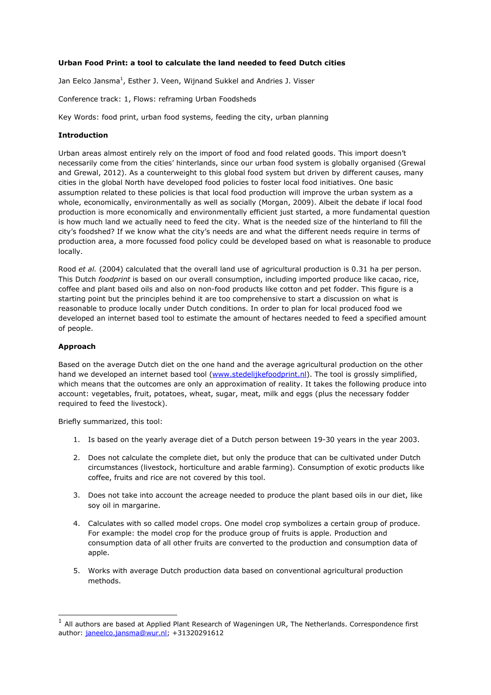# **Urban Food Print: a tool to calculate the land needed to feed Dutch cities**

Jan Eelco Jansma<sup>1</sup>, Esther J. Veen, Wijnand Sukkel and Andries J. Visser

Conference track: 1, Flows: reframing Urban Foodsheds

Key Words: food print, urban food systems, feeding the city, urban planning

## **Introduction**

Urban areas almost entirely rely on the import of food and food related goods. This import doesn't necessarily come from the cities' hinterlands, since our urban food system is globally organised (Grewal and Grewal, 2012). As a counterweight to this global food system but driven by different causes, many cities in the global North have developed food policies to foster local food initiatives. One basic assumption related to these policies is that local food production will improve the urban system as a whole, economically, environmentally as well as socially (Morgan, 2009). Albeit the debate if local food production is more economically and environmentally efficient just started, a more fundamental question is how much land we actually need to feed the city. What is the needed size of the hinterland to fill the city's foodshed? If we know what the city's needs are and what the different needs require in terms of production area, a more focussed food policy could be developed based on what is reasonable to produce locally.

Rood *et al.* (2004) calculated that the overall land use of agricultural production is 0.31 ha per person. This Dutch *foodprint* is based on our overall consumption, including imported produce like cacao, rice, coffee and plant based oils and also on non-food products like cotton and pet fodder. This figure is a starting point but the principles behind it are too comprehensive to start a discussion on what is reasonable to produce locally under Dutch conditions. In order to plan for local produced food we developed an internet based tool to estimate the amount of hectares needed to feed a specified amount of people.

### **Approach**

-

Based on the average Dutch diet on the one hand and the average agricultural production on the other hand we developed an internet based tool [\(www.stedelijkefoodprint.nl\)](http://www.stedelijkefoodprint.nl/). The tool is grossly simplified, which means that the outcomes are only an approximation of reality. It takes the following produce into account: vegetables, fruit, potatoes, wheat, sugar, meat, milk and eggs (plus the necessary fodder required to feed the livestock).

Briefly summarized, this tool:

- 1. Is based on the yearly average diet of a Dutch person between 19-30 years in the year 2003.
- 2. Does not calculate the complete diet, but only the produce that can be cultivated under Dutch circumstances (livestock, horticulture and arable farming). Consumption of exotic products like coffee, fruits and rice are not covered by this tool.
- 3. Does not take into account the acreage needed to produce the plant based oils in our diet, like soy oil in margarine.
- 4. Calculates with so called model crops. One model crop symbolizes a certain group of produce. For example: the model crop for the produce group of fruits is apple. Production and consumption data of all other fruits are converted to the production and consumption data of apple.
- 5. Works with average Dutch production data based on conventional agricultural production methods.

 $<sup>1</sup>$  All authors are based at Applied Plant Research of Wageningen UR, The Netherlands. Correspondence first</sup> author: [janeelco.jansma@wur.nl;](mailto:janeelco.jansma@wur.nl) +31320291612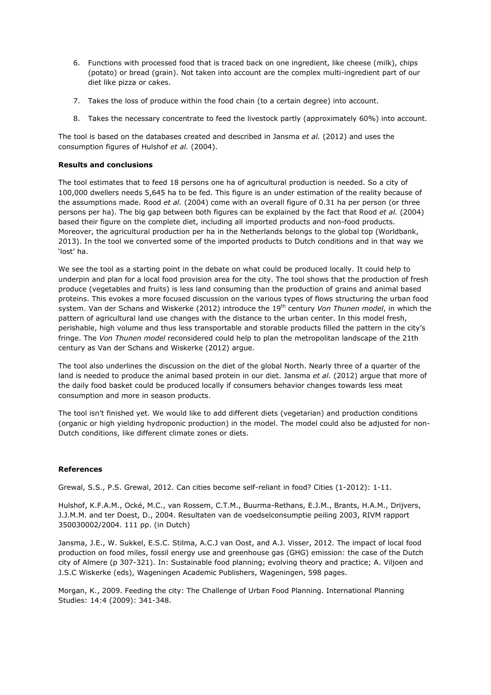- 6. Functions with processed food that is traced back on one ingredient, like cheese (milk), chips (potato) or bread (grain). Not taken into account are the complex multi-ingredient part of our diet like pizza or cakes.
- 7. Takes the loss of produce within the food chain (to a certain degree) into account.
- 8. Takes the necessary concentrate to feed the livestock partly (approximately 60%) into account.

The tool is based on the databases created and described in Jansma *et al.* (2012) and uses the consumption figures of Hulshof *et al.* (2004).

### **Results and conclusions**

The tool estimates that to feed 18 persons one ha of agricultural production is needed. So a city of 100,000 dwellers needs 5,645 ha to be fed. This figure is an under estimation of the reality because of the assumptions made. Rood *et al.* (2004) come with an overall figure of 0.31 ha per person (or three persons per ha). The big gap between both figures can be explained by the fact that Rood *et al.* (2004) based their figure on the complete diet, including all imported products and non-food products. Moreover, the agricultural production per ha in the Netherlands belongs to the global top (Worldbank, 2013). In the tool we converted some of the imported products to Dutch conditions and in that way we 'lost' ha.

We see the tool as a starting point in the debate on what could be produced locally. It could help to underpin and plan for a local food provision area for the city. The tool shows that the production of fresh produce (vegetables and fruits) is less land consuming than the production of grains and animal based proteins. This evokes a more focused discussion on the various types of flows structuring the urban food system. Van der Schans and Wiskerke (2012) introduce the 19<sup>th</sup> century *Von Thunen model*, in which the pattern of agricultural land use changes with the distance to the urban center. In this model fresh, perishable, high volume and thus less transportable and storable products filled the pattern in the city's fringe. The *Von Thunen model* reconsidered could help to plan the metropolitan landscape of the 21th century as Van der Schans and Wiskerke (2012) argue.

The tool also underlines the discussion on the diet of the global North. Nearly three of a quarter of the land is needed to produce the animal based protein in our diet. Jansma *et al.* (2012) argue that more of the daily food basket could be produced locally if consumers behavior changes towards less meat consumption and more in season products.

The tool isn't finished yet. We would like to add different diets (vegetarian) and production conditions (organic or high yielding hydroponic production) in the model. The model could also be adjusted for non-Dutch conditions, like different climate zones or diets.

# **References**

Grewal, S.S., P.S. Grewal, 2012. Can cities become self-reliant in food? Cities (1-2012): 1-11.

Hulshof, K.F.A.M., Ocké, M.C., van Rossem, C.T.M., Buurma-Rethans, E.J.M., Brants, H.A.M., Drijvers, J.J.M.M. and ter Doest, D., 2004. Resultaten van de voedselconsumptie peiling 2003, RIVM rapport 350030002/2004. 111 pp. (in Dutch)

Jansma, J.E., W. Sukkel, E.S.C. Stilma, A.C.J van Oost, and A.J. Visser, 2012. The impact of local food production on food miles, fossil energy use and greenhouse gas (GHG) emission: the case of the Dutch city of Almere (p 307-321). In: Sustainable food planning; evolving theory and practice; A. Viljoen and J.S.C Wiskerke (eds), Wageningen Academic Publishers, Wageningen, 598 pages.

Morgan, K., 2009. Feeding the city: The Challenge of Urban Food Planning. International Planning Studies: 14:4 (2009): 341-348.